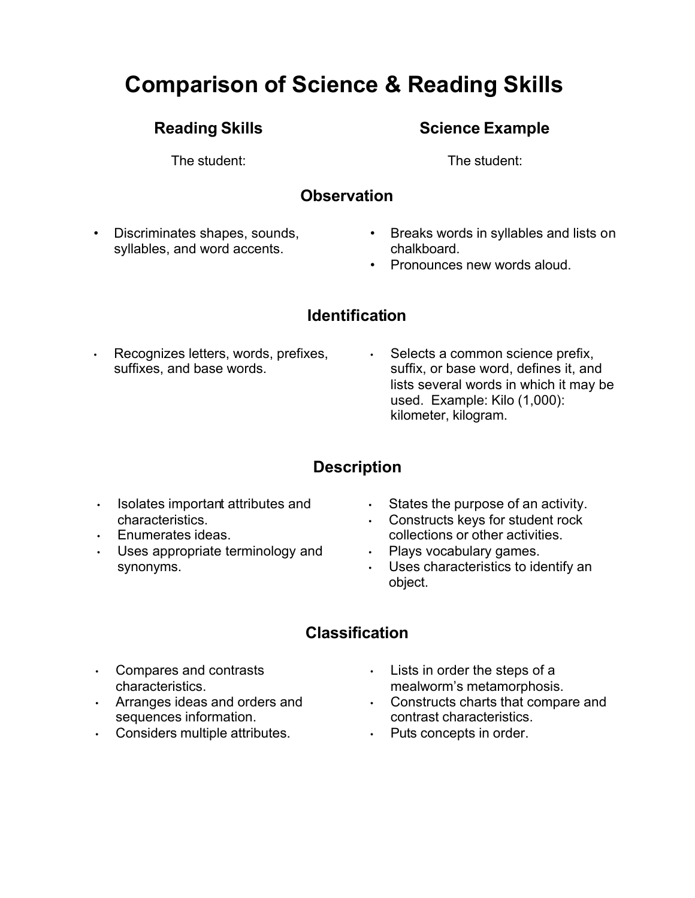# **Comparison of Science & Reading Skills**

## **Reading Skills**

The student:

## **Science Example**

The student:

## **Observation**

- Discriminates shapes, sounds, syllables, and word accents.
- Breaks words in syllables and lists on chalkboard.
- Pronounces new words aloud.

## **Identification**

- Recognizes letters, words, prefixes, suffixes, and base words.
- Selects a common science prefix, suffix, or base word, defines it, and lists several words in which it may be used. Example: Kilo (1,000): kilometer, kilogram.

# **Description**

- Isolates important attributes and characteristics.
- Enumerates ideas.
- Uses appropriate terminology and synonyms.
- States the purpose of an activity.
- Constructs keys for student rock collections or other activities.
- Plays vocabulary games.
- Uses characteristics to identify an object.

## **Classification**

- Compares and contrasts characteristics.
- Arranges ideas and orders and sequences information.
- Considers multiple attributes.
- Lists in order the steps of a mealworm's metamorphosis.
- Constructs charts that compare and contrast characteristics.
- Puts concepts in order.